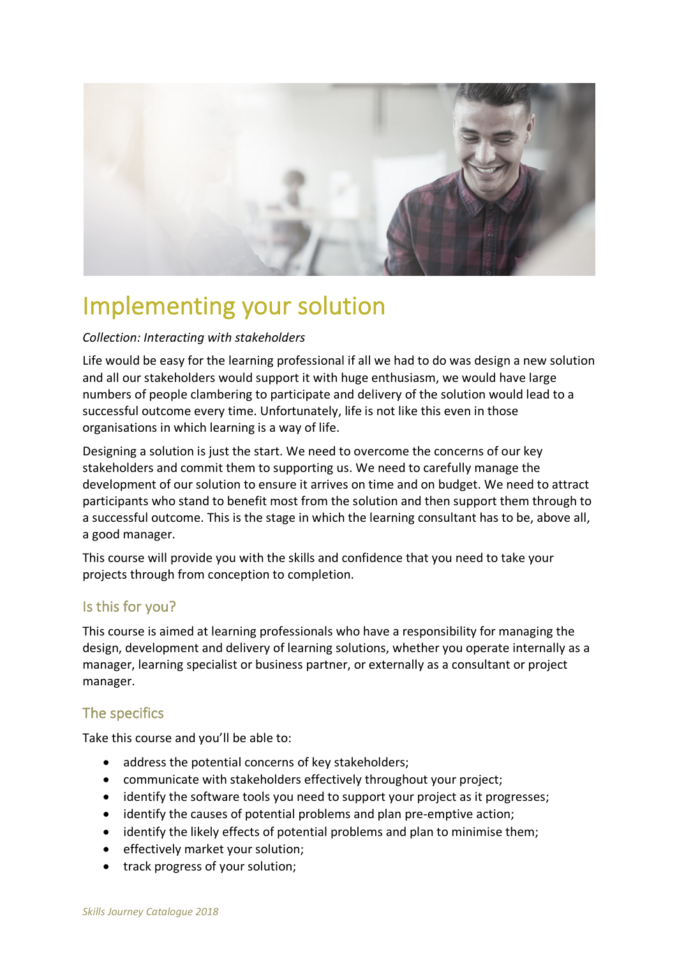

# Implementing your solution

#### *Collection: Interacting with stakeholders*

Life would be easy for the learning professional if all we had to do was design a new solution and all our stakeholders would support it with huge enthusiasm, we would have large numbers of people clambering to participate and delivery of the solution would lead to a successful outcome every time. Unfortunately, life is not like this even in those organisations in which learning is a way of life.

Designing a solution is just the start. We need to overcome the concerns of our key stakeholders and commit them to supporting us. We need to carefully manage the development of our solution to ensure it arrives on time and on budget. We need to attract participants who stand to benefit most from the solution and then support them through to a successful outcome. This is the stage in which the learning consultant has to be, above all, a good manager.

This course will provide you with the skills and confidence that you need to take your projects through from conception to completion.

### Is this for you?

This course is aimed at learning professionals who have a responsibility for managing the design, development and delivery of learning solutions, whether you operate internally as a manager, learning specialist or business partner, or externally as a consultant or project manager.

## The specifics

Take this course and you'll be able to:

- address the potential concerns of key stakeholders;
- communicate with stakeholders effectively throughout your project;
- identify the software tools you need to support your project as it progresses;
- identify the causes of potential problems and plan pre-emptive action;
- identify the likely effects of potential problems and plan to minimise them;
- effectively market your solution;
- track progress of your solution;